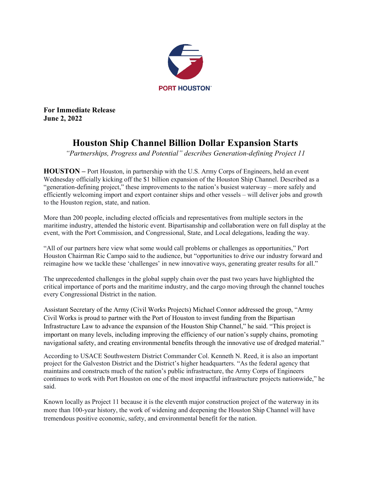

**For Immediate Release June 2, 2022**

## **Houston Ship Channel Billion Dollar Expansion Starts**

*"Partnerships, Progress and Potential" describes Generation-defining Project 11*

**HOUSTON –** Port Houston, in partnership with the U.S. Army Corps of Engineers, held an event Wednesday officially kicking off the \$1 billion expansion of the Houston Ship Channel. Described as a "generation-defining project," these improvements to the nation's busiest waterway – more safely and efficiently welcoming import and export container ships and other vessels – will deliver jobs and growth to the Houston region, state, and nation.

More than 200 people, including elected officials and representatives from multiple sectors in the maritime industry, attended the historic event. Bipartisanship and collaboration were on full display at the event, with the Port Commission, and Congressional, State, and Local delegations, leading the way.

"All of our partners here view what some would call problems or challenges as opportunities," Port Houston Chairman Ric Campo said to the audience, but "opportunities to drive our industry forward and reimagine how we tackle these 'challenges' in new innovative ways, generating greater results for all."

The unprecedented challenges in the global supply chain over the past two years have highlighted the critical importance of ports and the maritime industry, and the cargo moving through the channel touches every Congressional District in the nation.

Assistant Secretary of the Army (Civil Works Projects) Michael Connor addressed the group, "Army Civil Works is proud to partner with the Port of Houston to invest funding from the Bipartisan Infrastructure Law to advance the expansion of the Houston Ship Channel," he said. "This project is important on many levels, including improving the efficiency of our nation's supply chains, promoting navigational safety, and creating environmental benefits through the innovative use of dredged material."

According to USACE Southwestern District Commander Col. Kenneth N. Reed, it is also an important project for the Galveston District and the District's higher headquarters. "As the federal agency that maintains and constructs much of the nation's public infrastructure, the Army Corps of Engineers continues to work with Port Houston on one of the most impactful infrastructure projects nationwide," he said.

Known locally as Project 11 because it is the eleventh major construction project of the waterway in its more than 100-year history, the work of widening and deepening the Houston Ship Channel will have tremendous positive economic, safety, and environmental benefit for the nation.